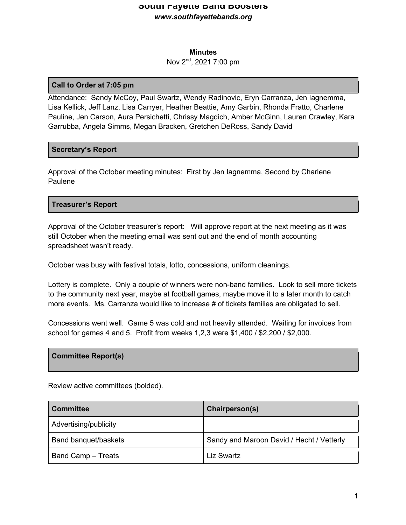#### **Minutes**

#### Nov 2nd, 2021 7:00 pm

#### **Call to Order at 7:05 pm**

Attendance: Sandy McCoy, Paul Swartz, Wendy Radinovic, Eryn Carranza, Jen Iagnemma, Lisa Kellick, Jeff Lanz, Lisa Carryer, Heather Beattie, Amy Garbin, Rhonda Fratto, Charlene Pauline, Jen Carson, Aura Persichetti, Chrissy Magdich, Amber McGinn, Lauren Crawley, Kara Garrubba, Angela Simms, Megan Bracken, Gretchen DeRoss, Sandy David

#### **Secretary's Report**

Approval of the October meeting minutes: First by Jen Iagnemma, Second by Charlene Paulene

# **Treasurer's Report**

Approval of the October treasurer's report: Will approve report at the next meeting as it was still October when the meeting email was sent out and the end of month accounting spreadsheet wasn't ready.

October was busy with festival totals, lotto, concessions, uniform cleanings.

Lottery is complete. Only a couple of winners were non-band families. Look to sell more tickets to the community next year, maybe at football games, maybe move it to a later month to catch more events. Ms. Carranza would like to increase # of tickets families are obligated to sell.

Concessions went well. Game 5 was cold and not heavily attended. Waiting for invoices from school for games 4 and 5. Profit from weeks 1,2,3 were \$1,400 / \$2,200 / \$2,000.

#### **Committee Report(s)**

Review active committees (bolded).

| <b>Committee</b>      | Chairperson(s)                            |
|-----------------------|-------------------------------------------|
| Advertising/publicity |                                           |
| Band banquet/baskets  | Sandy and Maroon David / Hecht / Vetterly |
| Band Camp - Treats    | Liz Swartz                                |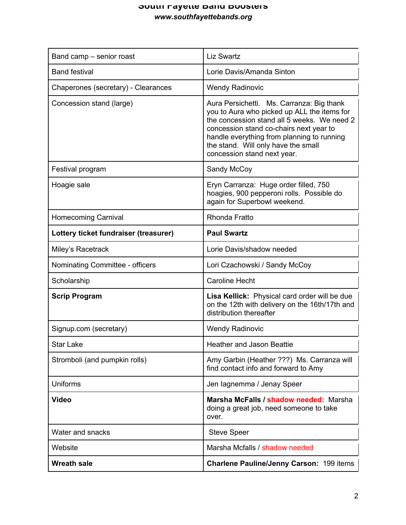| Band camp - senior roast              | <b>Liz Swartz</b>                                                                                                                                                                                                                                                                                      |
|---------------------------------------|--------------------------------------------------------------------------------------------------------------------------------------------------------------------------------------------------------------------------------------------------------------------------------------------------------|
| <b>Band festival</b>                  | Lorie Davis/Amanda Sinton                                                                                                                                                                                                                                                                              |
| Chaperones (secretary) - Clearances   | <b>Wendy Radinovic</b>                                                                                                                                                                                                                                                                                 |
| Concession stand (large)              | Aura Persichetti. Ms. Carranza: Big thank<br>you to Aura who picked up ALL the items for<br>the concession stand all 5 weeks. We need 2<br>concession stand co-chairs next year to<br>handle everything from planning to running<br>the stand. Will only have the small<br>concession stand next year. |
| Festival program                      | Sandy McCoy                                                                                                                                                                                                                                                                                            |
| Hoagie sale                           | Eryn Carranza: Huge order filled, 750<br>hoagies, 900 pepperoni rolls. Possible do<br>again for Superbowl weekend.                                                                                                                                                                                     |
| <b>Homecoming Carnival</b>            | <b>Rhonda Fratto</b>                                                                                                                                                                                                                                                                                   |
| Lottery ticket fundraiser (treasurer) | <b>Paul Swartz</b>                                                                                                                                                                                                                                                                                     |
| Miley's Racetrack                     | Lorie Davis/shadow needed                                                                                                                                                                                                                                                                              |
| Nominating Committee - officers       | Lori Czachowski / Sandy McCoy                                                                                                                                                                                                                                                                          |
| Scholarship                           | <b>Caroline Hecht</b>                                                                                                                                                                                                                                                                                  |
| <b>Scrip Program</b>                  | Lisa Kellick: Physical card order will be due<br>on the 12th with delivery on the 16th/17th and<br>distribution thereafter                                                                                                                                                                             |
| Signup.com (secretary)                | <b>Wendy Radinovic</b>                                                                                                                                                                                                                                                                                 |
| <b>Star Lake</b>                      | <b>Heather and Jason Beattie</b>                                                                                                                                                                                                                                                                       |
| Stromboli (and pumpkin rolls)         | Amy Garbin (Heather ???) Ms. Carranza will<br>find contact info and forward to Amy                                                                                                                                                                                                                     |
| <b>Uniforms</b>                       | Jen lagnemma / Jenay Speer                                                                                                                                                                                                                                                                             |
| <b>Video</b>                          | Marsha McFalls / shadow needed: Marsha<br>doing a great job, need someone to take<br>over.                                                                                                                                                                                                             |
| Water and snacks                      | <b>Steve Speer</b>                                                                                                                                                                                                                                                                                     |
| Website                               | Marsha Mcfalls / shadow needed                                                                                                                                                                                                                                                                         |
| <b>Wreath sale</b>                    | <b>Charlene Pauline/Jenny Carson: 199 items</b>                                                                                                                                                                                                                                                        |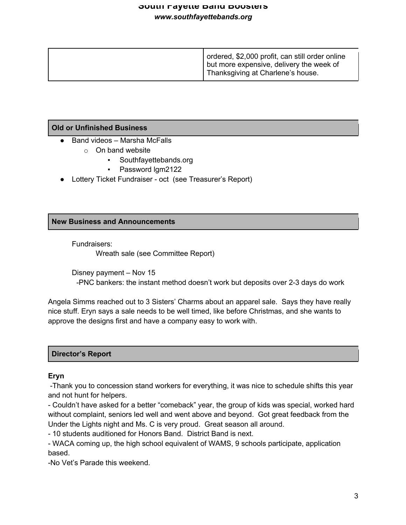| ordered, \$2,000 profit, can still order online<br>but more expensive, delivery the week of<br><sup>1</sup> Thanksgiving at Charlene's house. |
|-----------------------------------------------------------------------------------------------------------------------------------------------|
|                                                                                                                                               |

# **Old or Unfinished Business**

- $\bullet$  Band videos Marsha McFalls
	- o On band website
		- Southfayettebands.org
		- Password lgm2122
- Lottery Ticket Fundraiser oct (see Treasurer's Report)

# **New Business and Announcements**

Fundraisers:

Wreath sale (see Committee Report)

Disney payment – Nov 15 -PNC bankers: the instant method doesn't work but deposits over 2-3 days do work

Angela Simms reached out to 3 Sisters' Charms about an apparel sale. Says they have really nice stuff. Eryn says a sale needs to be well timed, like before Christmas, and she wants to approve the designs first and have a company easy to work with.

#### **Director's Report**

#### **Eryn**

-Thank you to concession stand workers for everything, it was nice to schedule shifts this year and not hunt for helpers.

- Couldn't have asked for a better "comeback" year, the group of kids was special, worked hard without complaint, seniors led well and went above and beyond. Got great feedback from the Under the Lights night and Ms. C is very proud. Great season all around.

- 10 students auditioned for Honors Band. District Band is next.

- WACA coming up, the high school equivalent of WAMS, 9 schools participate, application based.

-No Vet's Parade this weekend.